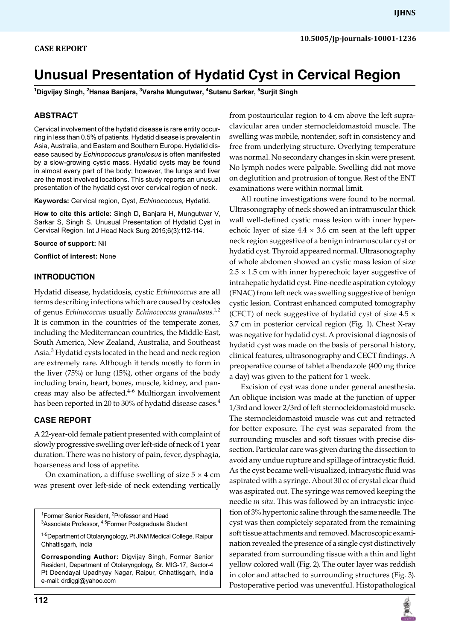# **Unusual Presentation of Hydatid Cyst in Cervical Region**

**1 Digvijay Singh, 2 Hansa Banjara, 3 Varsha Mungutwar, 4 Sutanu Sarkar, 5 Surjit Singh**

## **ABSTRACT**

Cervical involvement of the hydatid disease is rare entity occurring in less than 0.5% of patients. Hydatid disease is prevalent in Asia, Australia, and Eastern and Southern Europe. Hydatid disease caused by *Echinococcus granulosus* is often manifested by a slow-growing cystic mass. Hydatid cysts may be found in almost every part of the body; however, the lungs and liver are the most involved locations. This study reports an unusual presentation of the hydatid cyst over cervical region of neck.

**Keywords:** Cervical region, Cyst, *Echinococcus*, Hydatid.

**How to cite this article:** Singh D, Banjara H, Mungutwar V, Sarkar S, Singh S. Unusual Presentation of Hydatid Cyst in Cervical Region. Int J Head Neck Surg 2015;6(3):112-114.

**Source of support:** Nil

**Conflict of interest:** None

#### **INTRODUCTION**

Hydatid disease, hydatidosis, cystic *Echinococcus* are all terms describing infections which are caused by cestodes of genus *Echinococcus* usually *Echinococcus granulosus*. 1,2 It is common in the countries of the temperate zones, including the Mediterranean countries, the Middle East, South America, New Zealand, Australia, and Southeast Asia.<sup>3</sup> Hydatid cysts located in the head and neck region are extremely rare. Although it tends mostly to form in the liver (75%) or lung (15%), other organs of the body including brain, heart, bones, muscle, kidney, and pancreas may also be affected.<sup>4-6</sup> Multiorgan involvement has been reported in 20 to 30% of hydatid disease cases.<sup>4</sup>

### **CASE REPORT**

A 22-year-old female patient presented with complaint of slowly progressive swelling over left-side of neck of 1 year duration. There was no history of pain, fever, dysphagia, hoarseness and loss of appetite.

On examination, a diffuse swelling of size  $5 \times 4$  cm was present over left-side of neck extending vertically

<sup>1</sup> Former Senior Resident, <sup>2</sup> <sup>'</sup>Former Senior Resident, <sup>∠</sup>Professor and Head<br><sup>3</sup>Associate Professor, <sup>4,5</sup>Former Postgraduate Student

**Corresponding Author:** Digvijay Singh, Former Senior Resident, Department of Otolaryngology, Sr. MIG-17, Sector-4 Pt Deendayal Upadhyay Nagar, Raipur, Chhattisgarh, India e-mail: drdiggi@yahoo.com

from postauricular region to 4 cm above the left supraclavicular area under sternocleidomastoid muscle. The swelling was mobile, nontender, soft in consistency and free from underlying structure. Overlying temperature was normal. No secondary changes in skin were present. No lymph nodes were palpable. Swelling did not move on deglutition and protrusion of tongue. Rest of the ENT examinations were within normal limit.

All routine investigations were found to be normal. Ultrasonography of neck showed an intramuscular thick wall well-defined cystic mass lesion with inner hyperechoic layer of size  $4.4 \times 3.6$  cm seen at the left upper neck region suggestive of a benign intramuscular cyst or hydatid cyst. Thyroid appeared normal. Ultrasonography of whole abdomen showed an cystic mass lesion of size  $2.5 \times 1.5$  cm with inner hyperechoic layer suggestive of intrahepatic hydatid cyst. Fine-needle aspiration cytology (FNAC) from left neck was swelling suggestive of benign cystic lesion. Contrast enhanced computed tomography (CECT) of neck suggestive of hydatid cyst of size  $4.5 \times$ 3.7 cm in posterior cervical region (Fig. 1). Chest X-ray was negative for hydatid cyst. A provisional diagnosis of hydatid cyst was made on the basis of personal history, clinical features, ultrasonography and CECT findings. A preoperative course of tablet albendazole (400 mg thrice a day) was given to the patient for 1 week.

Excision of cyst was done under general anesthesia. An oblique incision was made at the junction of upper 1/3rd and lower 2/3rd of left sternocleidomastoid muscle. The sternocleidomastoid muscle was cut and retracted for better exposure. The cyst was separated from the surrounding muscles and soft tissues with precise dissection. Particular care was given during the dissection to avoid any undue rupture and spillage of intracystic fluid. As the cyst became well-visualized, intracystic fluid was aspirated with a syringe. About 30 cc of crystal clear fluid was aspirated out. The syringe was removed keeping the needle *in situ*. This was followed by an intracystic injection of 3% hypertonic saline through the same needle. The cyst was then completely separated from the remaining soft tissue attachments and removed. Macroscopic examination revealed the presence of a single cyst distinctively separated from surrounding tissue with a thin and light yellow colored wall (Fig. 2). The outer layer was reddish in color and attached to surrounding structures (Fig. 3). Postoperative period was uneventful. Histopathological



<sup>1-5</sup>Department of Otolaryngology, Pt JNM Medical College, Raipur Chhattisgarh, India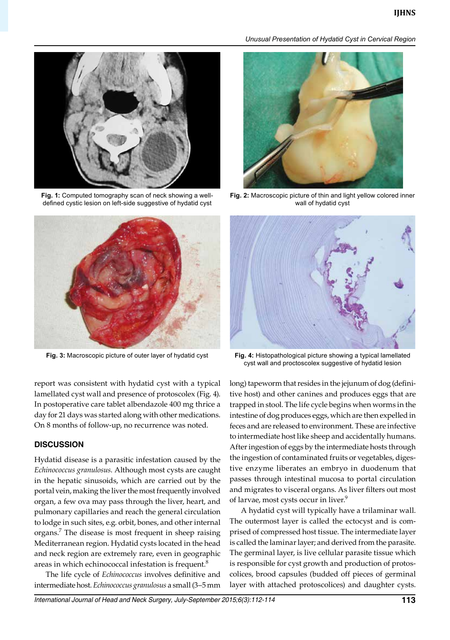

**Fig. 1:** Computed tomography scan of neck showing a welldefined cystic lesion on left-side suggestive of hydatid cyst



**Fig. 3:** Macroscopic picture of outer layer of hydatid cyst

report was consistent with hydatid cyst with a typical lamellated cyst wall and presence of protoscolex (Fig. 4). In postoperative care tablet albendazole 400 mg thrice a day for 21 days was started along with other medications. On 8 months of follow-up, no recurrence was noted.

## **DISCUSSION**

Hydatid disease is a parasitic infestation caused by the *Echinococcus granulosus*. Although most cysts are caught in the hepatic sinusoids, which are carried out by the portal vein, making the liver the most frequently involved organ, a few ova may pass through the liver, heart, and pulmonary capillaries and reach the general circulation to lodge in such sites, e.g. orbit, bones, and other internal organs.7 The disease is most frequent in sheep raising Mediterranean region. Hydatid cysts located in the head and neck region are extremely rare, even in geographic areas in which echinococcal infestation is frequent. $8$ 

The life cycle of *Echinococcus* involves definitive and intermediate host. *Echinococcus granulosus* a small (3–5 mm

#### *Unusual Presentation of Hydatid Cyst in Cervical Region*



**Fig. 2:** Macroscopic picture of thin and light yellow colored inner wall of hydatid cyst



**Fig. 4:** Histopathological picture showing a typical lamellated cyst wall and proctoscolex suggestive of hydatid lesion

long) tapeworm that resides in the jejunum of dog (definitive host) and other canines and produces eggs that are trapped in stool. The life cycle begins when worms in the intestine of dog produces eggs, which are then expelled in feces and are released to environment. These are infective to intermediate host like sheep and accidentally humans. After ingestion of eggs by the intermediate hosts through the ingestion of contaminated fruits or vegetables, digestive enzyme liberates an embryo in duodenum that passes through intestinal mucosa to portal circulation and migrates to visceral organs. As liver filters out most of larvae, most cysts occur in liver.<sup>9</sup>

A hydatid cyst will typically have a trilaminar wall. The outermost layer is called the ectocyst and is comprised of compressed host tissue. The intermediate layer is called the laminar layer; and derived from the parasite. The germinal layer, is live cellular parasite tissue which is responsible for cyst growth and production of protoscolices, brood capsules (budded off pieces of germinal layer with attached protoscolices) and daughter cysts.